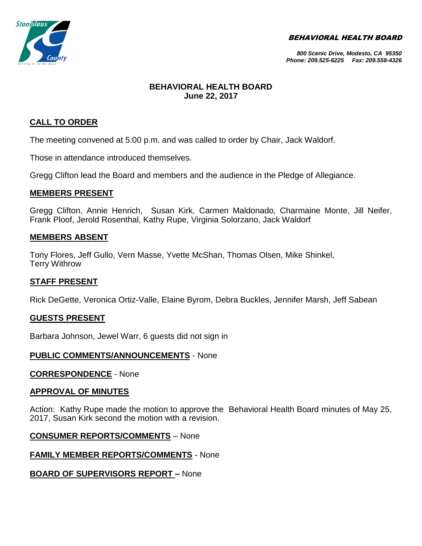BEHAVIORAL HEALTH BOARD



#### *800 Scenic Drive, Modesto, CA 95350 Phone: 209.525-6225 Fax: 209.558-4326*

## **BEHAVIORAL HEALTH BOARD June 22, 2017**

# **CALL TO ORDER**

The meeting convened at 5:00 p.m. and was called to order by Chair, Jack Waldorf.

Those in attendance introduced themselves.

Gregg Clifton lead the Board and members and the audience in the Pledge of Allegiance.

## **MEMBERS PRESENT**

Gregg Clifton, Annie Henrich, Susan Kirk, Carmen Maldonado, Charmaine Monte, Jill Neifer, Frank Ploof, Jerold Rosenthal, Kathy Rupe, Virginia Solorzano, Jack Waldorf

### **MEMBERS ABSENT**

Tony Flores, Jeff Gullo, Vern Masse, Yvette McShan, Thomas Olsen, Mike Shinkel, Terry Withrow

# **STAFF PRESENT**

Rick DeGette, Veronica Ortiz-Valle, Elaine Byrom, Debra Buckles, Jennifer Marsh, Jeff Sabean

### **GUESTS PRESENT**

Barbara Johnson, Jewel Warr, 6 guests did not sign in

### **PUBLIC COMMENTS/ANNOUNCEMENTS** - None

**CORRESPONDENCE** - None

### **APPROVAL OF MINUTES**

Action: Kathy Rupe made the motion to approve the Behavioral Health Board minutes of May 25, 2017, Susan Kirk second the motion with a revision.

### **CONSUMER REPORTS/COMMENTS** – None

# **FAMILY MEMBER REPORTS/COMMENTS** - None

# **BOARD OF SUPERVISORS REPORT –** None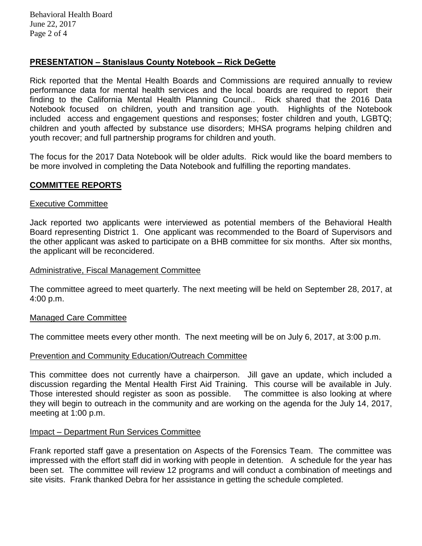# **PRESENTATION – Stanislaus County Notebook – Rick DeGette**

Rick reported that the Mental Health Boards and Commissions are required annually to review performance data for mental health services and the local boards are required to report their finding to the California Mental Health Planning Council.. Rick shared that the 2016 Data Notebook focused on children, youth and transition age youth. Highlights of the Notebook included access and engagement questions and responses; foster children and youth, LGBTQ; children and youth affected by substance use disorders; MHSA programs helping children and youth recover; and full partnership programs for children and youth.

The focus for the 2017 Data Notebook will be older adults. Rick would like the board members to be more involved in completing the Data Notebook and fulfilling the reporting mandates.

### **COMMITTEE REPORTS**

#### Executive Committee

Jack reported two applicants were interviewed as potential members of the Behavioral Health Board representing District 1. One applicant was recommended to the Board of Supervisors and the other applicant was asked to participate on a BHB committee for six months. After six months, the applicant will be reconcidered.

#### Administrative, Fiscal Management Committee

The committee agreed to meet quarterly. The next meeting will be held on September 28, 2017, at 4:00 p.m.

#### Managed Care Committee

The committee meets every other month. The next meeting will be on July 6, 2017, at 3:00 p.m.

#### Prevention and Community Education/Outreach Committee

This committee does not currently have a chairperson. Jill gave an update, which included a discussion regarding the Mental Health First Aid Training. This course will be available in July. Those interested should register as soon as possible. The committee is also looking at where they will begin to outreach in the community and are working on the agenda for the July 14, 2017, meeting at 1:00 p.m.

#### Impact – Department Run Services Committee

Frank reported staff gave a presentation on Aspects of the Forensics Team. The committee was impressed with the effort staff did in working with people in detention. A schedule for the year has been set. The committee will review 12 programs and will conduct a combination of meetings and site visits. Frank thanked Debra for her assistance in getting the schedule completed.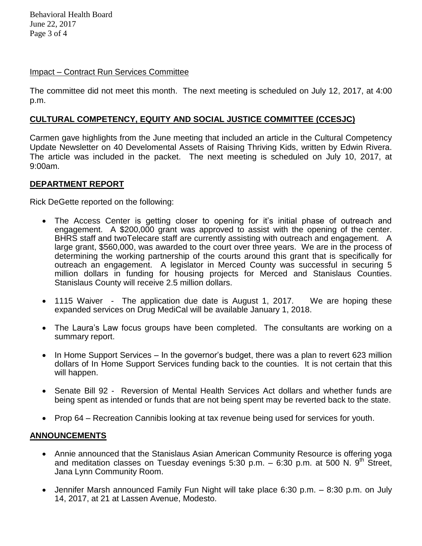Behavioral Health Board June 22, 2017 Page 3 of 4

### Impact – Contract Run Services Committee

The committee did not meet this month. The next meeting is scheduled on July 12, 2017, at 4:00 p.m.

# **CULTURAL COMPETENCY, EQUITY AND SOCIAL JUSTICE COMMITTEE (CCESJC)**

Carmen gave highlights from the June meeting that included an article in the Cultural Competency Update Newsletter on 40 Develomental Assets of Raising Thriving Kids, written by Edwin Rivera. The article was included in the packet. The next meeting is scheduled on July 10, 2017, at 9:00am.

### **DEPARTMENT REPORT**

Rick DeGette reported on the following:

- The Access Center is getting closer to opening for it's initial phase of outreach and engagement. A \$200,000 grant was approved to assist with the opening of the center. BHRS staff and twoTelecare staff are currently assisting with outreach and engagement. A large grant, \$560,000, was awarded to the court over three years. We are in the process of determining the working partnership of the courts around this grant that is specifically for outreach an engagement. A legislator in Merced County was successful in securing 5 million dollars in funding for housing projects for Merced and Stanislaus Counties. Stanislaus County will receive 2.5 million dollars.
- 1115 Waiver The application due date is August 1, 2017. We are hoping these expanded services on Drug MediCal will be available January 1, 2018.
- The Laura's Law focus groups have been completed. The consultants are working on a summary report.
- $\bullet$  In Home Support Services In the governor's budget, there was a plan to revert 623 million dollars of In Home Support Services funding back to the counties. It is not certain that this will happen.
- Senate Bill 92 Reversion of Mental Health Services Act dollars and whether funds are being spent as intended or funds that are not being spent may be reverted back to the state.
- Prop 64 Recreation Cannibis looking at tax revenue being used for services for youth.

### **ANNOUNCEMENTS**

- Annie announced that the Stanislaus Asian American Community Resource is offering yoga and meditation classes on Tuesday evenings 5:30 p.m.  $-$  6:30 p.m. at 500 N. 9<sup>th</sup> Street, Jana Lynn Community Room.
- Jennifer Marsh announced Family Fun Night will take place 6:30 p.m. 8:30 p.m. on July 14, 2017, at 21 at Lassen Avenue, Modesto.